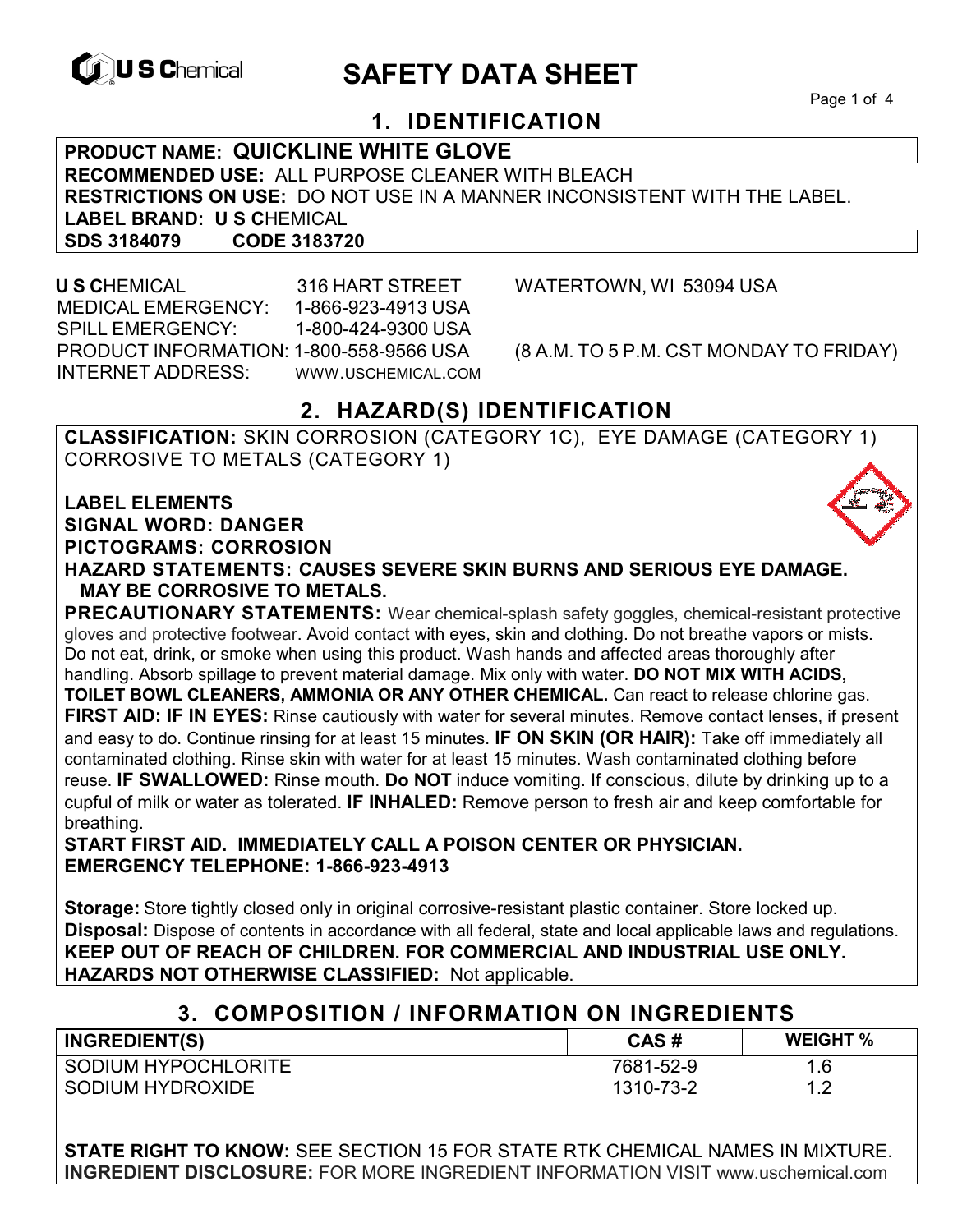

# **EXAGREM** SAFETY DATA SHEET

Page 1 of 4

# **1. IDENTIFICATION**

**PRODUCT NAME: QUICKLINE WHITE GLOVE RECOMMENDED USE:** ALL PURPOSE CLEANER WITH BLEACH **RESTRICTIONS ON USE:** DO NOT USE IN A MANNER INCONSISTENT WITH THE LABEL. **LABEL BRAND: U S C**HEMICAL **SDS 3184079** 

 **U S C**HEMICAL 316 HART STREET WATERTOWN, WI 53094 USA MEDICAL EMERGENCY: 1-866-923-4913 USA SPILL EMERGENCY: 1-800-424-9300 USA PRODUCT INFORMATION: 1-800-558-9566 USA (8 A.M. TO 5 P.M. CST MONDAY TO FRIDAY) INTERNET ADDRESS: WWW.USCHEMICAL.COM

# **2. HAZARD(S) IDENTIFICATION**

**CLASSIFICATION:** SKIN CORROSION (CATEGORY 1C), EYE DAMAGE (CATEGORY 1) CORROSIVE TO METALS (CATEGORY 1)

**LABEL ELEMENTS SIGNAL WORD: DANGER PICTOGRAMS: CORROSION**



**PRECAUTIONARY STATEMENTS:** Wear chemical-splash safety goggles, chemical-resistant protective gloves and protective footwear. Avoid contact with eyes, skin and clothing. Do not breathe vapors or mists. Do not eat, drink, or smoke when using this product. Wash hands and affected areas thoroughly after handling. Absorb spillage to prevent material damage. Mix only with water. **DO NOT MIX WITH ACIDS, TOILET BOWL CLEANERS, AMMONIA OR ANY OTHER CHEMICAL.** Can react to release chlorine gas. **FIRST AID: IF IN EYES:** Rinse cautiously with water for several minutes. Remove contact lenses, if present and easy to do. Continue rinsing for at least 15 minutes. **IF ON SKIN (OR HAIR):** Take off immediately all contaminated clothing. Rinse skin with water for at least 15 minutes. Wash contaminated clothing before reuse. **IF SWALLOWED:** Rinse mouth. **Do NOT** induce vomiting. If conscious, dilute by drinking up to a cupful of milk or water as tolerated. **IF INHALED:** Remove person to fresh air and keep comfortable for breathing.

**START FIRST AID. IMMEDIATELY CALL A POISON CENTER OR PHYSICIAN. EMERGENCY TELEPHONE: 1-866-923-4913** 

**Storage:** Store tightly closed only in original corrosive-resistant plastic container. Store locked up. **Disposal:** Dispose of contents in accordance with all federal, state and local applicable laws and regulations. **KEEP OUT OF REACH OF CHILDREN. FOR COMMERCIAL AND INDUSTRIAL USE ONLY. HAZARDS NOT OTHERWISE CLASSIFIED:** Not applicable.

#### **3. COMPOSITION / INFORMATION ON INGREDIENTS**

| <b>INGREDIENT(S)</b> | CAS#      | <b>WEIGHT %</b> |
|----------------------|-----------|-----------------|
| SODIUM HYPOCHLORITE  | 7681-52-9 | 1.6             |
| SODIUM HYDROXIDE     | 1310-73-2 | ィっ              |

**STATE RIGHT TO KNOW:** SEE SECTION 15 FOR STATE RTK CHEMICAL NAMES IN MIXTURE. **INGREDIENT DISCLOSURE:** FOR MORE INGREDIENT INFORMATION VISIT www.uschemical.com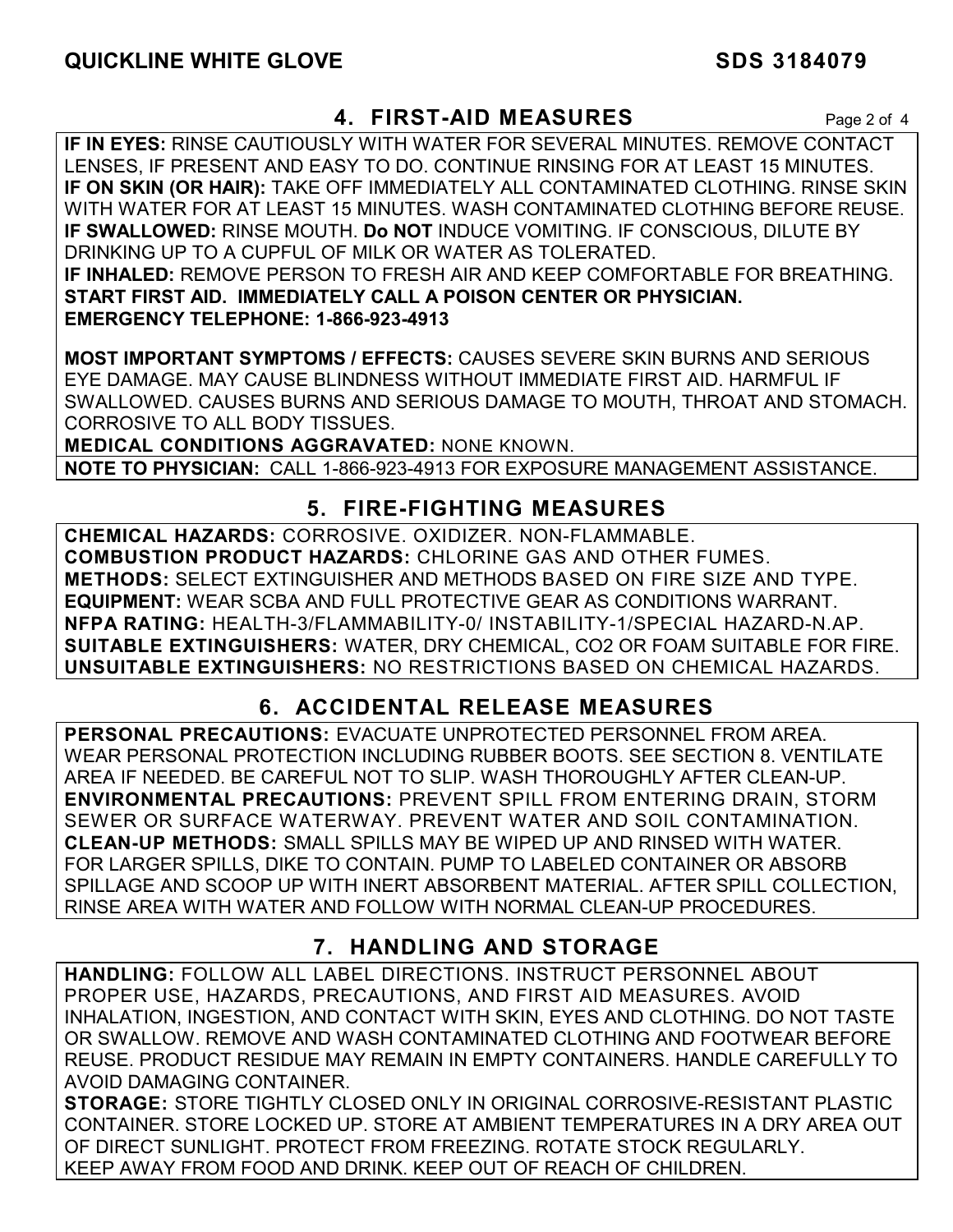## **4. FIRST-AID MEASURES** Page 2 of 4

**IF IN EYES:** RINSE CAUTIOUSLY WITH WATER FOR SEVERAL MINUTES. REMOVE CONTACT LENSES, IF PRESENT AND EASY TO DO. CONTINUE RINSING FOR AT LEAST 15 MINUTES. **IF ON SKIN (OR HAIR):** TAKE OFF IMMEDIATELY ALL CONTAMINATED CLOTHING. RINSE SKIN WITH WATER FOR AT LEAST 15 MINUTES. WASH CONTAMINATED CLOTHING BEFORE REUSE. **IF SWALLOWED:** RINSE MOUTH. **Do NOT** INDUCE VOMITING. IF CONSCIOUS, DILUTE BY DRINKING UP TO A CUPFUL OF MILK OR WATER AS TOLERATED. **IF INHALED:** REMOVE PERSON TO FRESH AIR AND KEEP COMFORTABLE FOR BREATHING. **START FIRST AID. IMMEDIATELY CALL A POISON CENTER OR PHYSICIAN. EMERGENCY TELEPHONE: 1-866-923-4913**

**MOST IMPORTANT SYMPTOMS / EFFECTS:** CAUSES SEVERE SKIN BURNS AND SERIOUS EYE DAMAGE. MAY CAUSE BLINDNESS WITHOUT IMMEDIATE FIRST AID. HARMFUL IF SWALLOWED. CAUSES BURNS AND SERIOUS DAMAGE TO MOUTH, THROAT AND STOMACH. CORROSIVE TO ALL BODY TISSUES.

**MEDICAL CONDITIONS AGGRAVATED:** NONE KNOWN.

**NOTE TO PHYSICIAN:** CALL 1-866-923-4913 FOR EXPOSURE MANAGEMENT ASSISTANCE.

# **5. FIRE-FIGHTING MEASURES**

**CHEMICAL HAZARDS:** CORROSIVE. OXIDIZER. NON-FLAMMABLE. **COMBUSTION PRODUCT HAZARDS:** CHLORINE GAS AND OTHER FUMES. **METHODS:** SELECT EXTINGUISHER AND METHODS BASED ON FIRE SIZE AND TYPE. **EQUIPMENT:** WEAR SCBA AND FULL PROTECTIVE GEAR AS CONDITIONS WARRANT. **NFPA RATING:** HEALTH-3/FLAMMABILITY-0/ INSTABILITY-1/SPECIAL HAZARD-N.AP. **SUITABLE EXTINGUISHERS:** WATER, DRY CHEMICAL, CO2 OR FOAM SUITABLE FOR FIRE. **UNSUITABLE EXTINGUISHERS:** NO RESTRICTIONS BASED ON CHEMICAL HAZARDS.

# **6. ACCIDENTAL RELEASE MEASURES**

**PERSONAL PRECAUTIONS:** EVACUATE UNPROTECTED PERSONNEL FROM AREA. WEAR PERSONAL PROTECTION INCLUDING RUBBER BOOTS. SEE SECTION 8. VENTILATE AREA IF NEEDED. BE CAREFUL NOT TO SLIP. WASH THOROUGHLY AFTER CLEAN-UP. **ENVIRONMENTAL PRECAUTIONS:** PREVENT SPILL FROM ENTERING DRAIN, STORM SEWER OR SURFACE WATERWAY. PREVENT WATER AND SOIL CONTAMINATION. **CLEAN-UP METHODS:** SMALL SPILLS MAY BE WIPED UP AND RINSED WITH WATER. FOR LARGER SPILLS, DIKE TO CONTAIN. PUMP TO LABELED CONTAINER OR ABSORB SPILLAGE AND SCOOP UP WITH INERT ABSORBENT MATERIAL. AFTER SPILL COLLECTION, RINSE AREA WITH WATER AND FOLLOW WITH NORMAL CLEAN-UP PROCEDURES.

# **7. HANDLING AND STORAGE**

**HANDLING:** FOLLOW ALL LABEL DIRECTIONS. INSTRUCT PERSONNEL ABOUT PROPER USE, HAZARDS, PRECAUTIONS, AND FIRST AID MEASURES. AVOID INHALATION, INGESTION, AND CONTACT WITH SKIN, EYES AND CLOTHING. DO NOT TASTE OR SWALLOW. REMOVE AND WASH CONTAMINATED CLOTHING AND FOOTWEAR BEFORE REUSE. PRODUCT RESIDUE MAY REMAIN IN EMPTY CONTAINERS. HANDLE CAREFULLY TO AVOID DAMAGING CONTAINER.

**STORAGE:** STORE TIGHTLY CLOSED ONLY IN ORIGINAL CORROSIVE-RESISTANT PLASTIC CONTAINER. STORE LOCKED UP. STORE AT AMBIENT TEMPERATURES IN A DRY AREA OUT OF DIRECT SUNLIGHT. PROTECT FROM FREEZING. ROTATE STOCK REGULARLY. KEEP AWAY FROM FOOD AND DRINK. KEEP OUT OF REACH OF CHILDREN.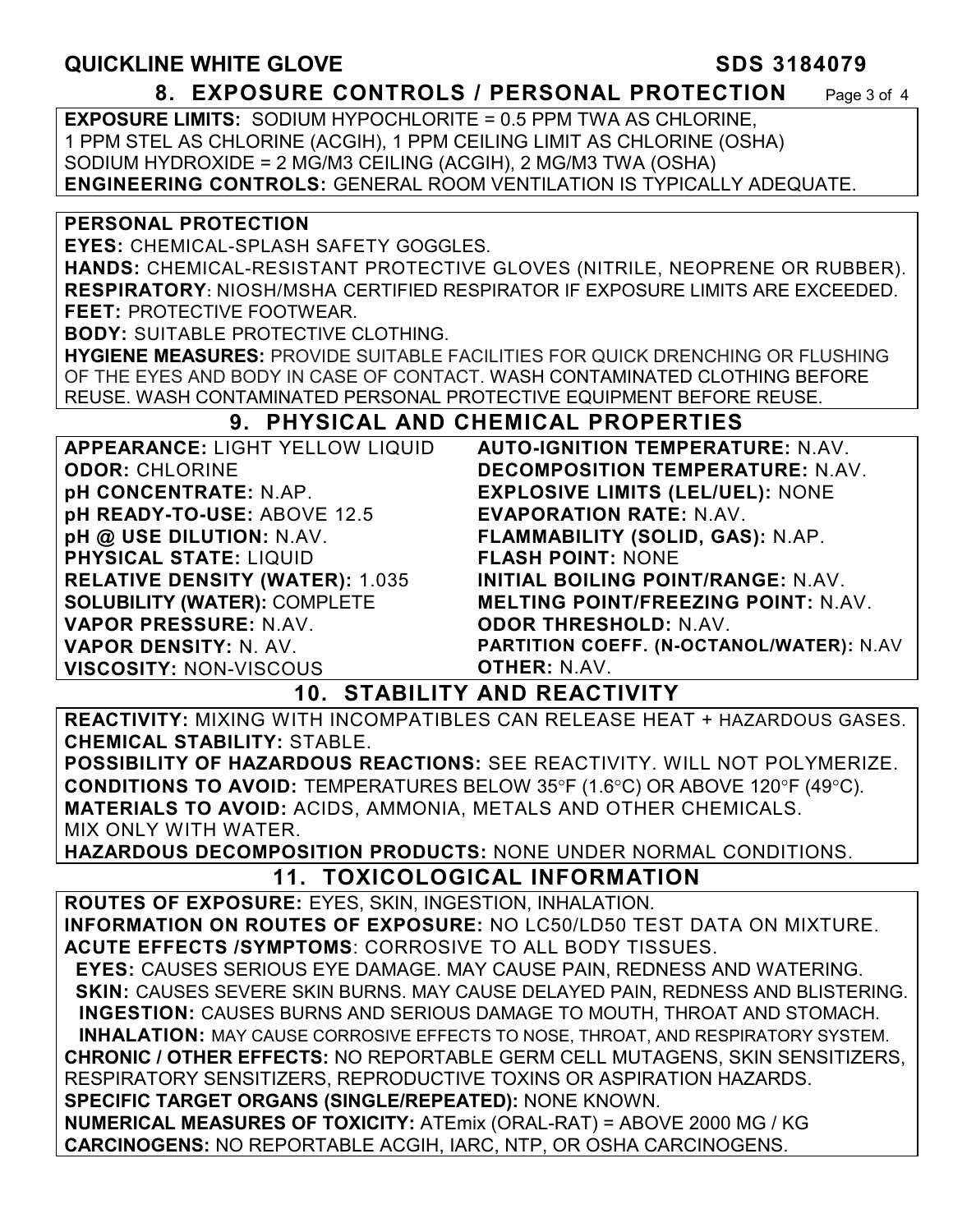# **QUICKLINE WHITE GLOVE SDS 3184079**

**8. EXPOSURE CONTROLS / PERSONAL PROTECTION** Page 3 of 4 **EXPOSURE LIMITS:** SODIUM HYPOCHLORITE = 0.5 PPM TWA AS CHLORINE, 1 PPM STEL AS CHLORINE (ACGIH), 1 PPM CEILING LIMIT AS CHLORINE (OSHA) SODIUM HYDROXIDE = 2 MG/M3 CEILING (ACGIH), 2 MG/M3 TWA (OSHA)

**ENGINEERING CONTROLS:** GENERAL ROOM VENTILATION IS TYPICALLY ADEQUATE.

#### **PERSONAL PROTECTION**

**EYES:** CHEMICAL-SPLASH SAFETY GOGGLES.

**HANDS:** CHEMICAL-RESISTANT PROTECTIVE GLOVES (NITRILE, NEOPRENE OR RUBBER). **RESPIRATORY:** NIOSH/MSHA CERTIFIED RESPIRATOR IF EXPOSURE LIMITS ARE EXCEEDED. **FEET:** PROTECTIVE FOOTWEAR.

**BODY:** SUITABLE PROTECTIVE CLOTHING.

**HYGIENE MEASURES:** PROVIDE SUITABLE FACILITIES FOR QUICK DRENCHING OR FLUSHING OF THE EYES AND BODY IN CASE OF CONTACT. WASH CONTAMINATED CLOTHING BEFORE REUSE. WASH CONTAMINATED PERSONAL PROTECTIVE EQUIPMENT BEFORE REUSE.

# **9. PHYSICAL AND CHEMICAL PROPERTIES**

| APPEARANCE: LIGHT YELLOW LIQUID        | <b>AUTO-IGNITION TEMPERATURE: N.AV.</b>    |
|----------------------------------------|--------------------------------------------|
| <b>ODOR: CHLORINE</b>                  | <b>DECOMPOSITION TEMPERATURE: N.AV.</b>    |
| pH CONCENTRATE: N.AP.                  | <b>EXPLOSIVE LIMITS (LEL/UEL): NONE</b>    |
| pH READY-TO-USE: ABOVE 12.5            | <b>EVAPORATION RATE: N.AV.</b>             |
| pH @ USE DILUTION: N.AV.               | FLAMMABILITY (SOLID, GAS): N.AP.           |
| <b>PHYSICAL STATE: LIQUID</b>          | <b>FLASH POINT: NONE</b>                   |
| <b>RELATIVE DENSITY (WATER): 1.035</b> | INITIAL BOILING POINT/RANGE: N.AV.         |
| <b>SOLUBILITY (WATER): COMPLETE</b>    | <b>MELTING POINT/FREEZING POINT: N.AV.</b> |
| VAPOR PRESSURE: N.AV.                  | <b>ODOR THRESHOLD: N.AV.</b>               |
| VAPOR DENSITY: N. AV.                  | PARTITION COEFF. (N-OCTANOL/WATER): N.AV   |
| <b>VISCOSITY: NON-VISCOUS</b>          | <b>OTHER: N.AV.</b>                        |

#### **10. STABILITY AND REACTIVITY**

**REACTIVITY:** MIXING WITH INCOMPATIBLES CAN RELEASE HEAT + HAZARDOUS GASES. **CHEMICAL STABILITY:** STABLE.

**POSSIBILITY OF HAZARDOUS REACTIONS:** SEE REACTIVITY. WILL NOT POLYMERIZE. **CONDITIONS TO AVOID:** TEMPERATURES BELOW 35°F (1.6°C) OR ABOVE 120°F (49°C). **MATERIALS TO AVOID:** ACIDS, AMMONIA, METALS AND OTHER CHEMICALS. MIX ONLY WITH WATER.

**HAZARDOUS DECOMPOSITION PRODUCTS:** NONE UNDER NORMAL CONDITIONS. **11. TOXICOLOGICAL INFORMATION** 

**ROUTES OF EXPOSURE:** EYES, SKIN, INGESTION, INHALATION. **INFORMATION ON ROUTES OF EXPOSURE:** NO LC50/LD50 TEST DATA ON MIXTURE. **ACUTE EFFECTS /SYMPTOMS**: CORROSIVE TO ALL BODY TISSUES.  **EYES:** CAUSES SERIOUS EYE DAMAGE. MAY CAUSE PAIN, REDNESS AND WATERING.

 **SKIN:** CAUSES SEVERE SKIN BURNS. MAY CAUSE DELAYED PAIN, REDNESS AND BLISTERING. **INGESTION:** CAUSES BURNS AND SERIOUS DAMAGE TO MOUTH, THROAT AND STOMACH.

 **INHALATION:** MAY CAUSE CORROSIVE EFFECTS TO NOSE, THROAT, AND RESPIRATORY SYSTEM. **CHRONIC / OTHER EFFECTS:** NO REPORTABLE GERM CELL MUTAGENS, SKIN SENSITIZERS, RESPIRATORY SENSITIZERS, REPRODUCTIVE TOXINS OR ASPIRATION HAZARDS. **SPECIFIC TARGET ORGANS (SINGLE/REPEATED):** NONE KNOWN.

**NUMERICAL MEASURES OF TOXICITY:** ATEmix (ORAL-RAT) = ABOVE 2000 MG / KG **CARCINOGENS:** NO REPORTABLE ACGIH, IARC, NTP, OR OSHA CARCINOGENS.